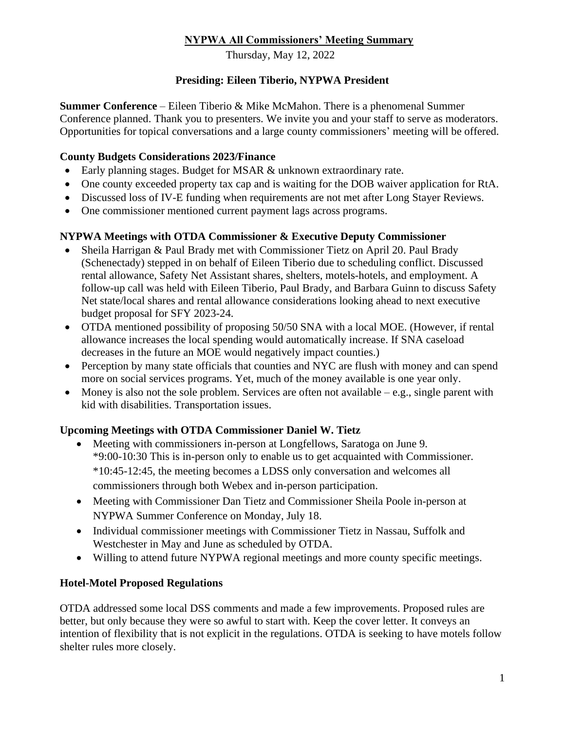## **NYPWA All Commissioners' Meeting Summary**

Thursday, May 12, 2022

## **Presiding: Eileen Tiberio, NYPWA President**

**Summer Conference** – Eileen Tiberio & Mike McMahon. There is a phenomenal Summer Conference planned. Thank you to presenters. We invite you and your staff to serve as moderators. Opportunities for topical conversations and a large county commissioners' meeting will be offered.

## **County Budgets Considerations 2023/Finance**

- Early planning stages. Budget for MSAR & unknown extraordinary rate.
- One county exceeded property tax cap and is waiting for the DOB waiver application for RtA.
- Discussed loss of IV-E funding when requirements are not met after Long Stayer Reviews.
- One commissioner mentioned current payment lags across programs.

## **NYPWA Meetings with OTDA Commissioner & Executive Deputy Commissioner**

- Sheila Harrigan & Paul Brady met with Commissioner Tietz on April 20. Paul Brady (Schenectady) stepped in on behalf of Eileen Tiberio due to scheduling conflict. Discussed rental allowance, Safety Net Assistant shares, shelters, motels-hotels, and employment. A follow-up call was held with Eileen Tiberio, Paul Brady, and Barbara Guinn to discuss Safety Net state/local shares and rental allowance considerations looking ahead to next executive budget proposal for SFY 2023-24.
- OTDA mentioned possibility of proposing 50/50 SNA with a local MOE. (However, if rental allowance increases the local spending would automatically increase. If SNA caseload decreases in the future an MOE would negatively impact counties.)
- Perception by many state officials that counties and NYC are flush with money and can spend more on social services programs. Yet, much of the money available is one year only.
- Money is also not the sole problem. Services are often not available  $-e.g.,$  single parent with kid with disabilities. Transportation issues.

## **Upcoming Meetings with OTDA Commissioner Daniel W. Tietz**

- Meeting with commissioners in-person at Longfellows, Saratoga on June 9. \*9:00-10:30 This is in-person only to enable us to get acquainted with Commissioner. \*10:45-12:45, the meeting becomes a LDSS only conversation and welcomes all commissioners through both Webex and in-person participation.
- Meeting with Commissioner Dan Tietz and Commissioner Sheila Poole in-person at NYPWA Summer Conference on Monday, July 18.
- Individual commissioner meetings with Commissioner Tietz in Nassau, Suffolk and Westchester in May and June as scheduled by OTDA.
- Willing to attend future NYPWA regional meetings and more county specific meetings.

## **Hotel-Motel Proposed Regulations**

OTDA addressed some local DSS comments and made a few improvements. Proposed rules are better, but only because they were so awful to start with. Keep the cover letter. It conveys an intention of flexibility that is not explicit in the regulations. OTDA is seeking to have motels follow shelter rules more closely.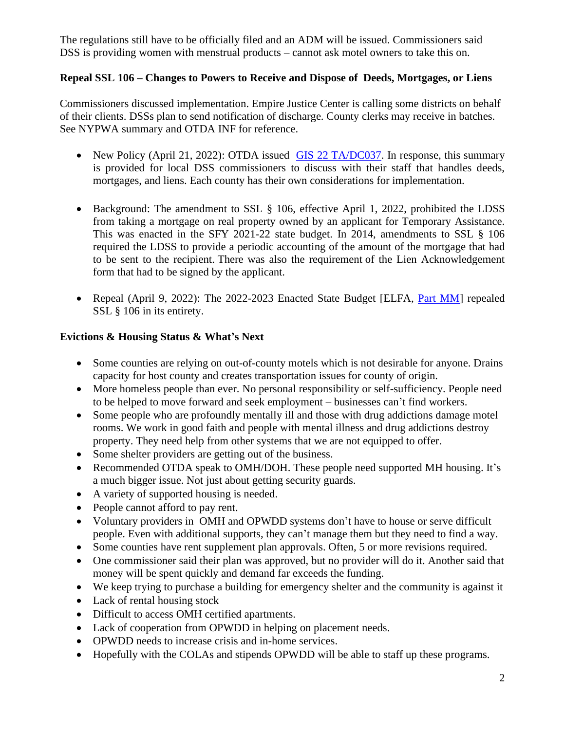The regulations still have to be officially filed and an ADM will be issued. Commissioners said DSS is providing women with menstrual products – cannot ask motel owners to take this on.

### **Repeal SSL 106 – Changes to Powers to Receive and Dispose of Deeds, Mortgages, or Liens**

Commissioners discussed implementation. Empire Justice Center is calling some districts on behalf of their clients. DSSs plan to send notification of discharge. County clerks may receive in batches. See NYPWA summary and OTDA INF for reference.

- New Policy (April 21, 2022): OTDA issued [GIS 22 TA/DC037.](https://otda.ny.gov/policy/gis/2022/22DC037.pdf) In response, this summary is provided for local DSS commissioners to discuss with their staff that handles deeds, mortgages, and liens. Each county has their own considerations for implementation.
- Background: The amendment to SSL § 106, effective April 1, 2022, prohibited the LDSS from taking a mortgage on real property owned by an applicant for Temporary Assistance. This was enacted in the SFY 2021-22 state budget. In 2014, amendments to SSL § 106 required the LDSS to provide a periodic accounting of the amount of the mortgage that had to be sent to the recipient. There was also the requirement of the Lien Acknowledgement form that had to be signed by the applicant.
- Repeal (April 9, 2022): The 2022-2023 Enacted State Budget [ELFA, *Part MM*] repealed SSL § 106 in its entirety.

#### **Evictions & Housing Status & What's Next**

- Some counties are relying on out-of-county motels which is not desirable for anyone. Drains capacity for host county and creates transportation issues for county of origin.
- More homeless people than ever. No personal responsibility or self-sufficiency. People need to be helped to move forward and seek employment – businesses can't find workers.
- Some people who are profoundly mentally ill and those with drug addictions damage motel rooms. We work in good faith and people with mental illness and drug addictions destroy property. They need help from other systems that we are not equipped to offer.
- Some shelter providers are getting out of the business.
- Recommended OTDA speak to OMH/DOH. These people need supported MH housing. It's a much bigger issue. Not just about getting security guards.
- A variety of supported housing is needed.
- People cannot afford to pay rent.
- Voluntary providers in OMH and OPWDD systems don't have to house or serve difficult people. Even with additional supports, they can't manage them but they need to find a way.
- Some counties have rent supplement plan approvals. Often, 5 or more revisions required.
- One commissioner said their plan was approved, but no provider will do it. Another said that money will be spent quickly and demand far exceeds the funding.
- We keep trying to purchase a building for emergency shelter and the community is against it
- Lack of rental housing stock
- Difficult to access OMH certified apartments.
- Lack of cooperation from OPWDD in helping on placement needs.
- OPWDD needs to increase crisis and in-home services.
- Hopefully with the COLAs and stipends OPWDD will be able to staff up these programs.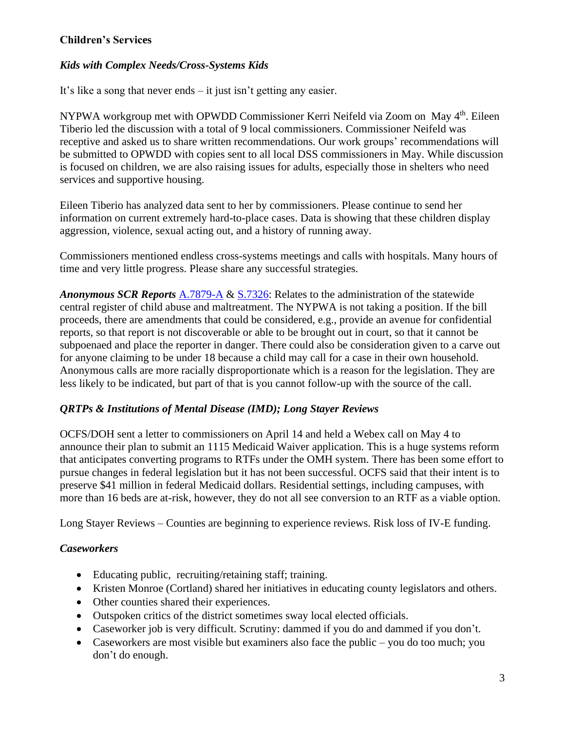## **Children's Services**

### *Kids with Complex Needs/Cross-Systems Kids*

It's like a song that never ends – it just isn't getting any easier.

NYPWA workgroup met with OPWDD Commissioner Kerri Neifeld via Zoom on May 4<sup>th</sup>. Eileen Tiberio led the discussion with a total of 9 local commissioners. Commissioner Neifeld was receptive and asked us to share written recommendations. Our work groups' recommendations will be submitted to OPWDD with copies sent to all local DSS commissioners in May. While discussion is focused on children, we are also raising issues for adults, especially those in shelters who need services and supportive housing.

Eileen Tiberio has analyzed data sent to her by commissioners. Please continue to send her information on current extremely hard-to-place cases. Data is showing that these children display aggression, violence, sexual acting out, and a history of running away.

Commissioners mentioned endless cross-systems meetings and calls with hospitals. Many hours of time and very little progress. Please share any successful strategies.

*Anonymous SCR Reports* [A.7879-A](https://nyassembly.gov/leg/?default_fld=&leg_video=&bn=A07879&term=2021&Summary=Y&Actions=Y&Memo=Y&Text=Y) & [S.7326:](https://www.nysenate.gov/legislation/bills/2021/s7326) Relates to the administration of the statewide central register of child abuse and maltreatment. The NYPWA is not taking a position. If the bill proceeds, there are amendments that could be considered, e.g., provide an avenue for confidential reports, so that report is not discoverable or able to be brought out in court, so that it cannot be subpoenaed and place the reporter in danger. There could also be consideration given to a carve out for anyone claiming to be under 18 because a child may call for a case in their own household. Anonymous calls are more racially disproportionate which is a reason for the legislation. They are less likely to be indicated, but part of that is you cannot follow-up with the source of the call.

## *QRTPs & Institutions of Mental Disease (IMD); Long Stayer Reviews*

OCFS/DOH sent a letter to commissioners on April 14 and held a Webex call on May 4 to announce their plan to submit an 1115 Medicaid Waiver application. This is a huge systems reform that anticipates converting programs to RTFs under the OMH system. There has been some effort to pursue changes in federal legislation but it has not been successful. OCFS said that their intent is to preserve \$41 million in federal Medicaid dollars. Residential settings, including campuses, with more than 16 beds are at-risk, however, they do not all see conversion to an RTF as a viable option.

Long Stayer Reviews – Counties are beginning to experience reviews. Risk loss of IV-E funding.

#### *Caseworkers*

- Educating public, recruiting/retaining staff; training.
- Kristen Monroe (Cortland) shared her initiatives in educating county legislators and others.
- Other counties shared their experiences.
- Outspoken critics of the district sometimes sway local elected officials.
- Caseworker job is very difficult. Scrutiny: dammed if you do and dammed if you don't.
- Caseworkers are most visible but examiners also face the public you do too much; you don't do enough.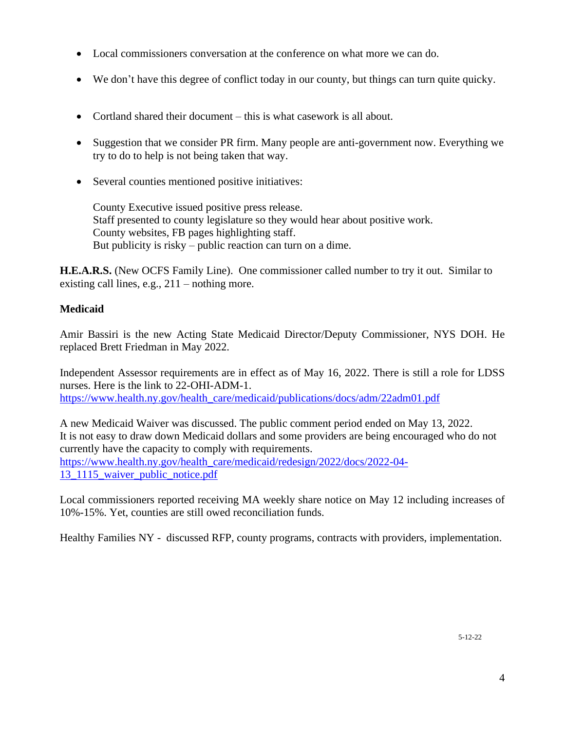- Local commissioners conversation at the conference on what more we can do.
- We don't have this degree of conflict today in our county, but things can turn quite quicky.
- Cortland shared their document this is what casework is all about.
- Suggestion that we consider PR firm. Many people are anti-government now. Everything we try to do to help is not being taken that way.
- Several counties mentioned positive initiatives:

County Executive issued positive press release. Staff presented to county legislature so they would hear about positive work. County websites, FB pages highlighting staff. But publicity is risky – public reaction can turn on a dime.

**H.E.A.R.S.** (New OCFS Family Line). One commissioner called number to try it out. Similar to existing call lines, e.g., 211 – nothing more.

### **Medicaid**

Amir Bassiri is the new Acting State Medicaid Director/Deputy Commissioner, NYS DOH. He replaced Brett Friedman in May 2022.

Independent Assessor requirements are in effect as of May 16, 2022. There is still a role for LDSS nurses. Here is the link to 22-OHI-ADM-1. https://www.health.ny.gov/health\_care/medicaid/publications/docs/adm/22adm01.pdf

A new Medicaid Waiver was discussed. The public comment period ended on May 13, 2022. It is not easy to draw down Medicaid dollars and some providers are being encouraged who do not currently have the capacity to comply with requirements. https://www.health.ny.gov/health\_care/medicaid/redesign/2022/docs/2022-04- 13\_1115\_waiver\_public\_notice.pdf

Local commissioners reported receiving MA weekly share notice on May 12 including increases of 10%-15%. Yet, counties are still owed reconciliation funds.

Healthy Families NY - discussed RFP, county programs, contracts with providers, implementation.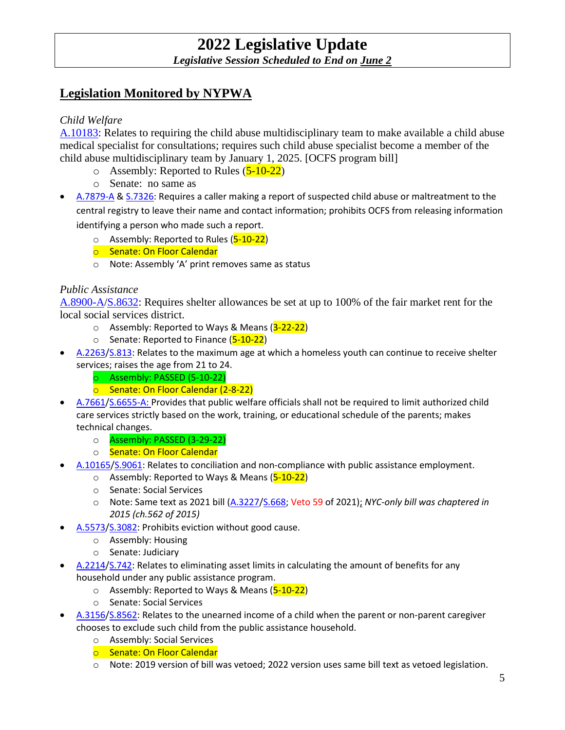# **Legislation Monitored by NYPWA**

### *Child Welfare*

A.10183: Relates to requiring the child abuse multidisciplinary team to make available a child abuse medical specialist for consultations; requires such child abuse specialist become a member of the child abuse multidisciplinary team by January 1, 2025. [OCFS program bill]

- $\circ$  Assembly: Reported to Rules ( $\overline{5-10-22}$ )
- o Senate: no same as
- A.7879-A & S.7326: Requires a caller making a report of suspected child abuse or maltreatment to the central registry to leave their name and contact information; prohibits OCFS from releasing information identifying a person who made such a report.
	- $\circ$  Assembly: Reported to Rules ( $5-10-22$ )
	- o Senate: On Floor Calendar
	- o Note: Assembly 'A' print removes same as status

#### *Public Assistance*

A.8900-A/S.8632: Requires shelter allowances be set at up to 100% of the fair market rent for the local social services district.

- $\circ$  Assembly: Reported to Ways & Means (3-22-22)
- o Senate: Reported to Finance (5-10-22)
- A.2263/S.813: Relates to the maximum age at which a homeless youth can continue to receive shelter services; raises the age from 21 to 24.
	- o Assembly: PASSED (5-10-22)
	- o Senate: On Floor Calendar (2-8-22)
- A.7661/S.6655-A: Provides that public welfare officials shall not be required to limit authorized child care services strictly based on the work, training, or educational schedule of the parents; makes technical changes.
	- o Assembly: PASSED (3-29-22)
	- o Senate: On Floor Calendar
- A.10165/S.9061: Relates to conciliation and non-compliance with public assistance employment.
	- $\circ$  Assembly: Reported to Ways & Means ( $\overline{5-10-22}$ )
	- o Senate: Social Services
	- o Note: Same text as 2021 bill (A.3227/S.668; Veto 59 of 2021); *NYC-only bill was chaptered in 2015 (ch.562 of 2015)*
- A.5573/S.3082: Prohibits eviction without good cause.
	- o Assembly: Housing
	- o Senate: Judiciary
- A.2214/S.742: Relates to eliminating asset limits in calculating the amount of benefits for any household under any public assistance program.
	- o Assembly: Reported to Ways & Means (5-10-22)
	- o Senate: Social Services
- A.3156/S.8562: Relates to the unearned income of a child when the parent or non-parent caregiver chooses to exclude such child from the public assistance household.
	- o Assembly: Social Services
	- o Senate: On Floor Calendar
	- o Note: 2019 version of bill was vetoed; 2022 version uses same bill text as vetoed legislation.